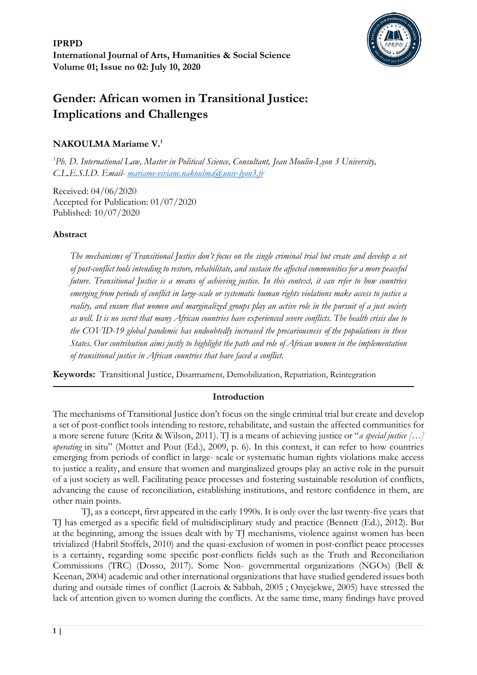

# **Gender: African women in Transitional Justice: Implications and Challenges**

## **NAKOULMA Mariame V.<sup>1</sup>**

*<sup>1</sup>Ph. D. International Law, Master in Political Science, Consultant, Jean Moulin-Lyon 3 University, C.L.E.S.I.D. Email- [mariame-viviane.nakoulma@univ-lyon3.fr](mailto:mariame-viviane.nakoulma@univ-lyon3.fr)*

Received: 04/06/2020 Accepted for Publication: 01/07/2020 Published: 10/07/2020

## **Abstract**

*The mechanisms of Transitional Justice don't focus on the single criminal trial but create and develop a set of post-conflict tools intending to restore, rehabilitate, and sustain the affected communities for a more peaceful future. Transitional Justice is a means of achieving justice. In this context, it can refer to how countries emerging from periods of conflict in large-scale or systematic human rights violations make access to justice a reality, and ensure that women and marginalized groups play an active role in the pursuit of a just society as well. It is no secret that many African countries have experienced severe conflicts. The health crisis due to the COVID-19 global pandemic has undoubtedly increased the precariousness of the populations in these States. Our contribution aims justly to highlight the path and role of African women in the implementation of transitional justice in African countries that have faced a conflict.*

**Keywords:** Transitional Justice, Disarmament, Demobilization, Repatriation, Reintegration

## **Introduction**

The mechanisms of Transitional Justice don't focus on the single criminal trial but create and develop a set of post-conflict tools intending to restore, rehabilitate, and sustain the affected communities for a more serene future (Kritz & Wilson, 2011). TJ is a means of achieving justice or "*a special justice […] operating* in situ" (Mottet and Pout (Ed.), 2009, p. 6). In this context, it can refer to how countries emerging from periods of conflict in large- scale or systematic human rights violations make access to justice a reality, and ensure that women and marginalized groups play an active role in the pursuit of a just society as well. Facilitating peace processes and fostering sustainable resolution of conflicts, advancing the cause of reconciliation, establishing institutions, and restore confidence in them, are other main points.

TJ, as a concept, first appeared in the early 1990s. It is only over the last twenty-five years that TJ has emerged as a specific field of multidisciplinary study and practice (Bennett (Ed.), 2012). But at the beginning, among the issues dealt with by TJ mechanisms, violence against women has been trivialized (Habril Stoffels, 2010) and the quasi-exclusion of women in post-conflict peace processes is a certainty, regarding some specific post-conflicts fields such as the Truth and Reconciliation Commissions (TRC) (Dosso, 2017). Some Non- governmental organizations (NGOs) (Bell & Keenan, 2004) academic and other international organizations that have studied gendered issues both during and outside times of conflict (Lacroix & Sabbah, 2005 ; Onyejekwe, 2005) have stressed the lack of attention given to women during the conflicts. At the same time, many findings have proved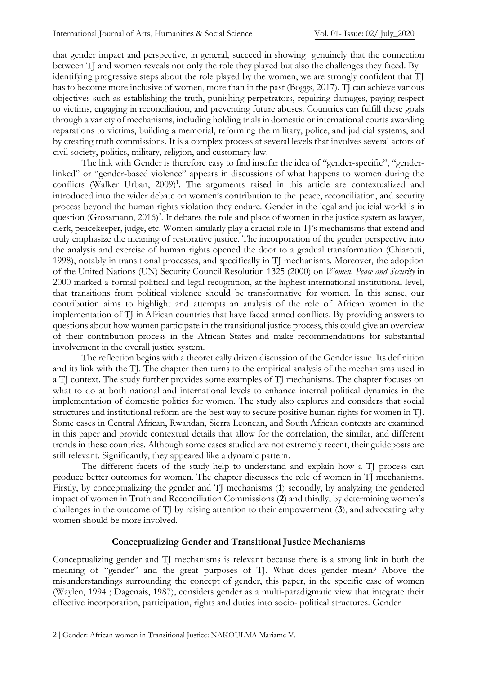that gender impact and perspective, in general, succeed in showing genuinely that the connection between TJ and women reveals not only the role they played but also the challenges they faced. By identifying progressive steps about the role played by the women, we are strongly confident that TJ has to become more inclusive of women, more than in the past (Boggs, 2017). TJ can achieve various objectives such as establishing the truth, punishing perpetrators, repairing damages, paying respect to victims, engaging in reconciliation, and preventing future abuses. Countries can fulfill these goals through a variety of mechanisms, including holding trials in domestic or international courts awarding reparations to victims, building a memorial, reforming the military, police, and judicial systems, and by creating truth commissions. It is a complex process at several levels that involves several actors of civil society, politics, military, religion, and customary law.

The link with Gender is therefore easy to find insofar the idea of "gender-specific", "genderlinked" or "gender-based violence" appears in discussions of what happens to women during the conflicts (Walker Urban, 2009)<sup>1</sup>. The arguments raised in this article are contextualized and introduced into the wider debate on women's contribution to the peace, reconciliation, and security process beyond the human rights violation they endure. Gender in the legal and judicial world is in question (Grossmann, 2016[\)](#page-12-0)<sup>2</sup>. It debates the role and place of women in the justice system as lawyer, clerk, peacekeeper, judge, etc. Women similarly play a crucial role in TJ's mechanisms that extend and truly emphasize the meaning of restorative justice. The incorporation of the gender perspective into the analysis and exercise of human rights opened the door to a gradual transformation (Chiarotti, 1998), notably in transitional processes, and specifically in TJ mechanisms. Moreover, the adoption of the United Nations (UN) Security Council Resolution 1325 (2000) on *Women, Peace and Security* in 2000 marked a formal political and legal recognition, at the highest international institutional level, that transitions from political violence should be transformative for women. In this sense, our contribution aims to highlight and attempts an analysis of the role of African women in the implementation of TJ in African countries that have faced armed conflicts. By providing answers to questions about how women participate in the transitional justice process, this could give an overview of their contribution process in the African States and make recommendations for substantial involvement in the overall justice system.

The reflection begins with a theoretically driven discussion of the Gender issue. Its definition and its link with the TJ. The chapter then turns to the empirical analysis of the mechanisms used in a TJ context. The study further provides some examples of TJ mechanisms. The chapter focuses on what to do at both national and international levels to enhance internal political dynamics in the implementation of domestic politics for women. The study also explores and considers that social structures and institutional reform are the best way to secure positive human rights for women in TJ. Some cases in Central African, Rwandan, Sierra Leonean, and South African contexts are examined in this paper and provide contextual details that allow for the correlation, the similar, and different trends in these countries. Although some cases studied are not extremely recent, their guideposts are still relevant. Significantly, they appeared like a dynamic pattern.

The different facets of the study help to understand and explain how a TJ process can produce better outcomes for women. The chapter discusses the role of women in TJ mechanisms. Firstly, by conceptualizing the gender and TJ mechanisms (1) secondly, by analyzing the gendered impact of women in Truth and Reconciliation Commissions (**2**) and thirdly, by determining women's challenges in the outcome of TJ by raising attention to their empowerment (**3**), and advocating why women should be more involved.

#### **Conceptualizing Gender and Transitional Justice Mechanisms**

Conceptualizing gender and TJ mechanisms is relevant because there is a strong link in both the meaning of "gender" and the great purposes of TJ. What does gender mean? Above the misunderstandings surrounding the concept of gender, this paper, in the specific case of women (Waylen, 1994 ; Dagenais, 1987), considers gender as a multi-paradigmatic view that integrate their effective incorporation, participation, rights and duties into socio- political structures. Gender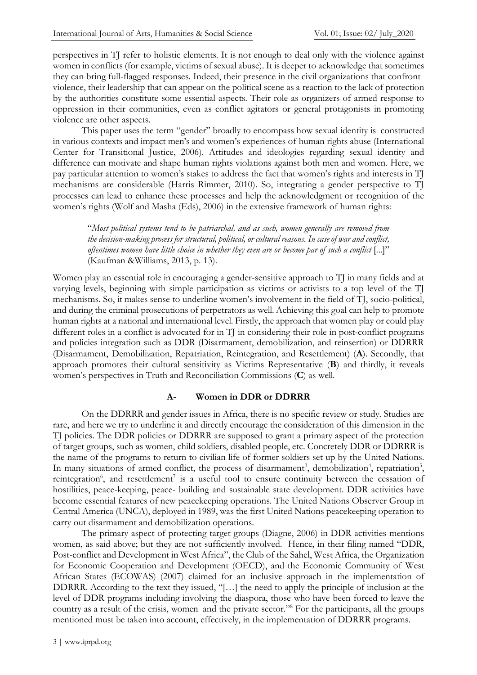perspectives in TJ refer to holistic elements. It is not enough to deal only with the violence against women in conflicts (for example, victims of sexual abuse). It is deeper to acknowledge that sometimes they can bring full-flagged responses. Indeed, their presence in the civil organizations that confront violence, their leadership that can appear on the political scene as a reaction to the lack of protection by the authorities constitute some essential aspects. Their role as organizers of armed response to oppression in their communities, even as conflict agitators or general protagonists in promoting violence are other aspects.

This paper uses the term "gender" broadly to encompass how sexual identity is constructed in various contexts and impact men's and women's experiences of human rights abuse (International Center for Transitional Justice, 2006). Attitudes and ideologies regarding sexual identity and difference can motivate and shape human rights violations against both men and women. Here, we pay particular attention to women's stakes to address the fact that women's rights and interests in TJ mechanisms are considerable (Harris Rimmer, 2010). So, integrating a gender perspective to TJ processes can lead to enhance these processes and help the acknowledgment or recognition of the women's rights (Wolf and Masha (Eds), 2006) in the extensive framework of human rights:

"*Most political systems tend to be patriarchal, and as such, women generally are removed from the decision-making process for structural, political, or cultural reasons. In case of war and conflict, oftentimes women have little choice in whether they even are or become par of such a conflict* [...]" (Kaufman &Williams, 2013, p. 13).

Women play an essential role in encouraging a gender-sensitive approach to TJ in many fields and at varying levels, beginning with simple participation as victims or activists to a top level of the TJ mechanisms. So, it makes sense to underline women's involvement in the field of TJ, socio-political, and during the criminal prosecutions of perpetrators as well. Achieving this goal can help to promote human rights at a national and international level. Firstly, the approach that women play or could play different roles in a conflict is advocated for in TJ in considering their role in post-conflict programs and policies integration such as DDR (Disarmament, demobilization, and reinsertion) or DDRRR (Disarmament, Demobilization, Repatriation, Reintegration, and Resettlement) (**A**). Secondly, that approach promotes their cultural sensitivity as Victims Representative (**B**) and thirdly, it reveals women's perspectives in Truth and Reconciliation Commissions (**C**) as well.

#### **A- Women in DDR or DDRRR**

On the DDRRR and gender issues in Africa, there is no specific review or study. Studies are rare, and here we try to underline it and directly encourage the consideration of this dimension in the TJ policies. The DDR policies or DDRRR are supposed to grant a primary aspect of the protection of target groups, such as women, child soldiers, disabled people, etc. Concretely DDR or DDRRR is the name of the programs to return to civilian life of former soldiers set up by the United Nations. In many situations of armed conflict[,](#page-12-1) the process of disarmame[n](#page-12-3)t<sup>3</sup>, demobilization<sup>4</sup>, repatriation<sup>5</sup>, reintegration<sup>6</sup>[,](#page-12-4) and resettlement<sup>7</sup> [i](#page-12-5)s a useful tool to ensure continuity between the cessation of hostilities, peace-keeping, peace- building and sustainable state development. DDR activities have become essential features of new peacekeeping operations. The United Nations Observer Group in Central America (UNCA), deployed in 1989, was the first United Nations peacekeeping operation to carry out disarmament and demobilization operations.

The primary aspect of protecting target groups (Diagne, 2006) in DDR activities mentions women, as said above; but they are not sufficiently involved. Hence, in their filing named "DDR, Post-conflict and Development in West Africa", the Club of the Sahel, West Africa, the Organization for Economic Cooperation and Development (OECD), and the Economic Community of West African States (ECOWAS) (2007) claimed for an inclusive approach in the implementation of DDRRR. According to the text they issued, "[…] the need to apply the principle of inclusion at the level of DDR programs including involving the diaspora, those who have been forced to leave the country as a result of the crisis, women and the private sector.["](#page-12-6)<sup>8</sup> For the participants, all the groups mentioned must be taken into account, effectively, in the implementation of DDRRR programs.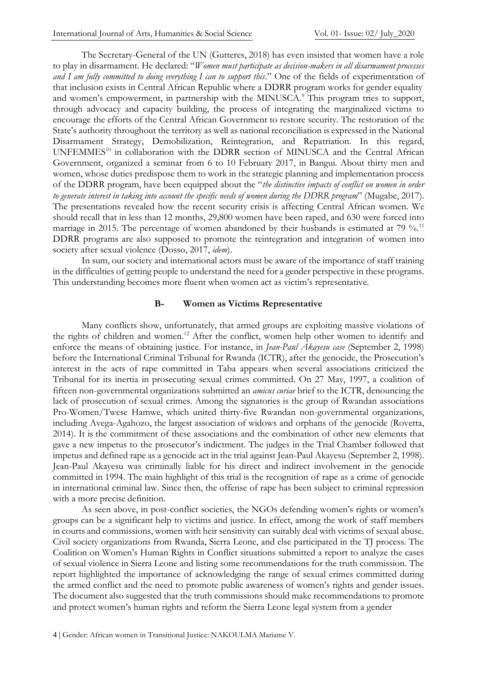The Secretary-General of the UN (Gutteres, 2018) has even insisted that women have a role to play in disarmament. He declared: "*Women must participate as decision-makers in all disarmament processes and I am fully committed to doing everything I can to support this*." One of the fields of experimentation of that inclusion exists in Central African Republic where a DDRR program works for gender equality and women's empowerment, in partnership with the MINUSCA.<sup>9</sup> This program tries to support, through advocacy and capacity building, the process of integrating the marginalized victims to encourage the efforts of the Central African Government to restore security. The restoration of the State's authority throughout the territory as well as national reconciliation is expressed in the National Disarmament Strategy, Demobilization, Reintegration, and Repatriation. In this regard, UNFEMMES<sup>[10](#page-12-7)</sup> in collaboration with the DDRR section of MINUSCA and the Central African Government, organized a seminar from 6 to 10 February 2017, in Bangui. About thirty men and women, whose duties predispose them to work in the strategic planning and implementation process of the DDRR program, have been equipped about the "*the distinctive impacts of conflict on women in order to generate interest in taking into account the specific needs of women during the DDRR program*" (Mugabe, 2017). The presentations revealed how the recent security crisis is affecting Central African women. We should recall that in less than 12 months, 29,800 women have been raped, and 630 were forced into marriage in 2015. The percentage of women abandoned by their husbands is estimated at 79 %.<sup>[11](#page-13-0)</sup> DDRR programs are also supposed to promote the reintegration and integration of women into society after sexual violence (Dosso, 2017, *idem*).

In sum, our society and international actors must be aware of the importance of staff training in the difficulties of getting people to understand the need for a gender perspective in these programs. This understanding becomes more fluent when women act as victim's representative.

#### **B- Women as Victims Representative**

Many conflicts show, unfortunately, that armed groups are exploiting massive violations of the rights of children and women.[12](#page-13-1) After the conflict, women help other women to identify and enforce the means of obtaining justice. For instance, in *Jean-Paul Akayesu case* (September 2, 1998) before the International Criminal Tribunal for Rwanda (ICTR), after the genocide, the Prosecution's interest in the acts of rape committed in Taba appears when several associations criticized the Tribunal for its inertia in prosecuting sexual crimes committed. On 27 May, 1997, a coalition of fifteen non-governmental organizations submitted an *amicus curiae* brief to the ICTR, denouncing the lack of prosecution of sexual crimes. Among the signatories is the group of Rwandan associations Pro-Women/Twese Hamwe, which united thirty-five Rwandan non-governmental organizations, including Avega-Agahozo, the largest association of widows and orphans of the genocide (Rovetta, 2014). It is the commitment of these associations and the combination of other new elements that gave a new impetus to the prosecutor's indictment. The judges in the Trial Chamber followed that impetus and defined rape as a genocide act in the trial against Jean-Paul Akayesu (September 2, 1998). Jean-Paul Akayesu was criminally liable for his direct and indirect involvement in the genocide committed in 1994. The main highlight of this trial is the recognition of rape as a crime of genocide in international criminal law. Since then, the offense of rape has been subject to criminal repression with a more precise definition.

As seen above, in post-conflict societies, the NGOs defending women's rights or women's groups can be a significant help to victims and justice. In effect, among the work of staff members in courts and commissions, women with heir sensitivity can suitably deal with victims of sexual abuse. Civil society organizations from Rwanda, Sierra Leone, and else participated in the TJ process. The Coalition on Women's Human Rights in Conflict situations submitted a report to analyze the cases of sexual violence in Sierra Leone and listing some recommendations for the truth commission. The report highlighted the importance of acknowledging the range of sexual crimes committed during the armed conflict and the need to promote public awareness of women's rights and gender issues. The document also suggested that the truth commissions should make recommendations to promote and protect women's human rights and reform the Sierra Leone legal system from a gender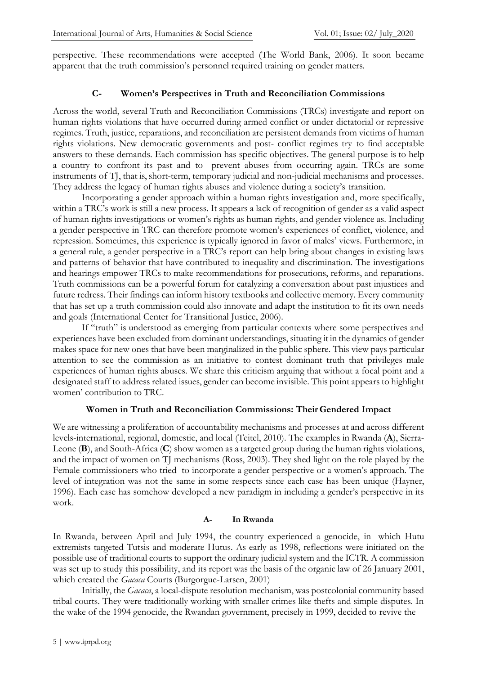perspective. These recommendations were accepted (The World Bank, 2006). It soon became apparent that the truth commission's personnel required training on gender matters.

#### **C- Women's Perspectives in Truth and Reconciliation Commissions**

Across the world, several Truth and Reconciliation Commissions (TRCs) investigate and report on human rights violations that have occurred during armed conflict or under dictatorial or repressive regimes. Truth, justice, reparations, and reconciliation are persistent demands from victims of human rights violations. New democratic governments and post- conflict regimes try to find acceptable answers to these demands. Each commission has specific objectives. The general purpose is to help a country to confront its past and to prevent abuses from occurring again. TRCs are some instruments of TJ, that is, short-term, temporary judicial and non-judicial mechanisms and processes. They address the legacy of human rights abuses and violence during a society's transition.

Incorporating a gender approach within a human rights investigation and, more specifically, within a TRC's work is still a new process. It appears a lack of recognition of gender as a valid aspect of human rights investigations or women's rights as human rights, and gender violence as. Including a gender perspective in TRC can therefore promote women's experiences of conflict, violence, and repression. Sometimes, this experience is typically ignored in favor of males' views. Furthermore, in a general rule, a gender perspective in a TRC's report can help bring about changes in existing laws and patterns of behavior that have contributed to inequality and discrimination. The investigations and hearings empower TRCs to make recommendations for prosecutions, reforms, and reparations. Truth commissions can be a powerful forum for catalyzing a conversation about past injustices and future redress. Their findings can inform history textbooks and collective memory. Every community that has set up a truth commission could also innovate and adapt the institution to fit its own needs and goals (International Center for Transitional Justice, 2006).

If "truth" is understood as emerging from particular contexts where some perspectives and experiences have been excluded from dominant understandings, situating it in the dynamics of gender makes space for new ones that have been marginalized in the public sphere. This view pays particular attention to see the commission as an initiative to contest dominant truth that privileges male experiences of human rights abuses. We share this criticism arguing that without a focal point and a designated staff to address related issues, gender can become invisible. This point appears to highlight women' contribution to TRC.

#### **Women in Truth and Reconciliation Commissions: Their Gendered Impact**

We are witnessing a proliferation of accountability mechanisms and processes at and across different levels-international, regional, domestic, and local (Teitel, 2010). The examples in Rwanda (**A**), Sierra-Leone (**B**), and South-Africa (**C**) show women as a targeted group during the human rights violations, and the impact of women on TJ mechanisms (Ross, 2003). They shed light on the role played by the Female commissioners who tried to incorporate a gender perspective or a women's approach. The level of integration was not the same in some respects since each case has been unique (Hayner, 1996). Each case has somehow developed a new paradigm in including a gender's perspective in its work.

#### **A- In Rwanda**

In Rwanda, between April and July 1994, the country experienced a genocide, in which Hutu extremists targeted Tutsis and moderate Hutus. As early as 1998, reflections were initiated on the possible use of traditional courts to support the ordinary judicial system and the ICTR. A commission was set up to study this possibility, and its report was the basis of the organic law of 26 January 2001, which created the *Gacaca* Courts (Burgorgue-Larsen, 2001)

Initially, the *Gacaca*, a local-dispute resolution mechanism, was postcolonial community based tribal courts. They were traditionally working with smaller crimes like thefts and simple disputes. In the wake of the 1994 genocide, the Rwandan government, precisely in 1999, decided to revive the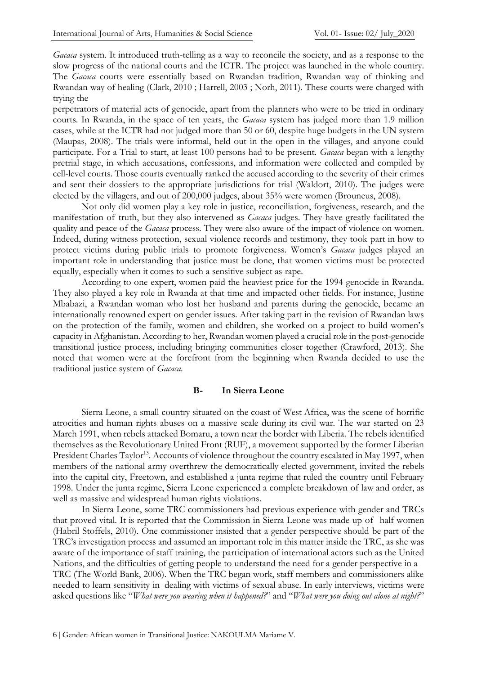*Gacaca* system. It introduced truth-telling as a way to reconcile the society, and as a response to the slow progress of the national courts and the ICTR. The project was launched in the whole country. The *Gacaca* courts were essentially based on Rwandan tradition, Rwandan way of thinking and Rwandan way of healing (Clark, 2010 ; Harrell, 2003 ; Norh, 2011). These courts were charged with trying the

perpetrators of material acts of genocide, apart from the planners who were to be tried in ordinary courts. In Rwanda, in the space of ten years, the *Gacaca* system has judged more than 1.9 million cases, while at the ICTR had not judged more than 50 or 60, despite huge budgets in the UN system (Maupas, 2008). The trials were informal, held out in the open in the villages, and anyone could participate. For a Trial to start, at least 100 persons had to be present. *Gacaca* began with a lengthy pretrial stage, in which accusations, confessions, and information were collected and compiled by cell-level courts. Those courts eventually ranked the accused according to the severity of their crimes and sent their dossiers to the appropriate jurisdictions for trial (Waldort, 2010). The judges were elected by the villagers, and out of 200,000 judges, about 35% were women (Brouneus, 2008).

Not only did women play a key role in justice, reconciliation, forgiveness, research, and the manifestation of truth, but they also intervened as *Gacaca* judges. They have greatly facilitated the quality and peace of the *Gacaca* process. They were also aware of the impact of violence on women. Indeed, during witness protection, sexual violence records and testimony, they took part in how to protect victims during public trials to promote forgiveness. Women's *Gacaca* judges played an important role in understanding that justice must be done, that women victims must be protected equally, especially when it comes to such a sensitive subject as rape.

According to one expert, women paid the heaviest price for the 1994 genocide in Rwanda. They also played a key role in Rwanda at that time and impacted other fields. For instance, Justine Mbabazi, a Rwandan woman who lost her husband and parents during the genocide, became an internationally renowned expert on gender issues. After taking part in the revision of Rwandan laws on the protection of the family, women and children, she worked on a project to build women's capacity in Afghanistan. According to her, Rwandan women played a crucial role in the post-genocide transitional justice process, including bringing communities closer together (Crawford, 2013). She noted that women were at the forefront from the beginning when Rwanda decided to use the traditional justice system of *Gacaca*.

#### **B- In Sierra Leone**

Sierra Leone, a small country situated on the coast of West Africa, was the scene of horrific atrocities and human rights abuses on a massive scale during its civil war. The war started on 23 March 1991, when rebels attacked Bomaru, a town near the border with Liberia. The rebels identified themselves as the Revolutionary United Front (RUF), a movement supported by the former Liberian President Charles Taylor<sup>[13](#page-13-2)</sup>. Accounts of violence throughout the country escalated in May 1997, when members of the national army overthrew the democratically elected government, invited the rebels into the capital city, Freetown, and established a junta regime that ruled the country until February 1998. Under the junta regime, Sierra Leone experienced a complete breakdown of law and order, as well as massive and widespread human rights violations.

In Sierra Leone, some TRC commissioners had previous experience with gender and TRCs that proved vital. It is reported that the Commission in Sierra Leone was made up of half women (Habril Stoffels, 2010). One commissioner insisted that a gender perspective should be part of the TRC's investigation process and assumed an important role in this matter inside the TRC, as she was aware of the importance of staff training, the participation of international actors such as the United Nations, and the difficulties of getting people to understand the need for a gender perspective in a TRC (The World Bank, 2006). When the TRC began work, staff members and commissioners alike needed to learn sensitivity in dealing with victims of sexual abuse. In early interviews, victims were asked questions like "*What were you wearing when it happened?*" and "*What were you doing out alone at night?*"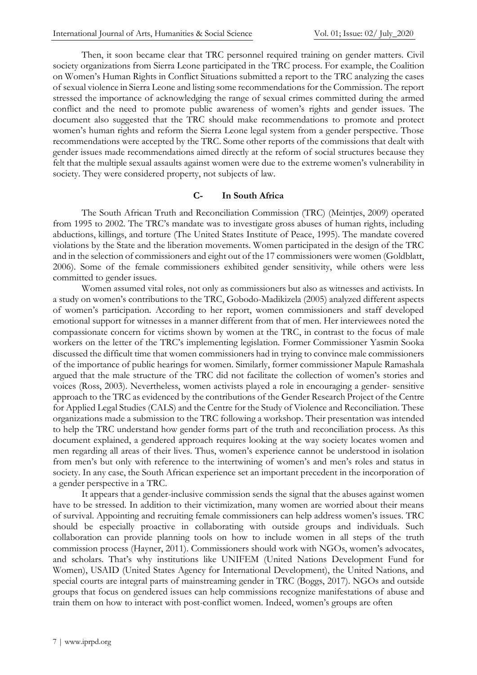Then, it soon became clear that TRC personnel required training on gender matters. Civil society organizations from Sierra Leone participated in the TRC process. For example, the Coalition on Women's Human Rights in Conflict Situations submitted a report to the TRC analyzing the cases of sexual violence in Sierra Leone and listing some recommendations for the Commission. The report stressed the importance of acknowledging the range of sexual crimes committed during the armed conflict and the need to promote public awareness of women's rights and gender issues. The document also suggested that the TRC should make recommendations to promote and protect women's human rights and reform the Sierra Leone legal system from a gender perspective. Those recommendations were accepted by the TRC. Some other reports of the commissions that dealt with gender issues made recommendations aimed directly at the reform of social structures because they felt that the multiple sexual assaults against women were due to the extreme women's vulnerability in society. They were considered property, not subjects of law.

#### **C- In South Africa**

The South African Truth and Reconciliation Commission (TRC) (Meintjes, 2009) operated from 1995 to 2002. The TRC's mandate was to investigate gross abuses of human rights, including abductions, killings, and torture (The United States Institute of Peace, 1995). The mandate covered violations by the State and the liberation movements. Women participated in the design of the TRC and in the selection of commissioners and eight out of the 17 commissioners were women (Goldblatt, 2006). Some of the female commissioners exhibited gender sensitivity, while others were less committed to gender issues.

Women assumed vital roles, not only as commissioners but also as witnesses and activists. In a study on women's contributions to the TRC, Gobodo-Madikizela (2005) analyzed different aspects of women's participation. According to her report, women commissioners and staff developed emotional support for witnesses in a manner different from that of men. Her interviewees noted the compassionate concern for victims shown by women at the TRC, in contrast to the focus of male workers on the letter of the TRC's implementing legislation. Former Commissioner Yasmin Sooka discussed the difficult time that women commissioners had in trying to convince male commissioners of the importance of public hearings for women. Similarly, former commissioner Mapule Ramashala argued that the male structure of the TRC did not facilitate the collection of women's stories and voices (Ross, 2003). Nevertheless, women activists played a role in encouraging a gender- sensitive approach to the TRC as evidenced by the contributions of the Gender Research Project of the Centre for Applied Legal Studies (CALS) and the Centre for the Study of Violence and Reconciliation. These organizations made a submission to the TRC following a workshop. Their presentation was intended to help the TRC understand how gender forms part of the truth and reconciliation process. As this document explained, a gendered approach requires looking at the way society locates women and men regarding all areas of their lives. Thus, women's experience cannot be understood in isolation from men's but only with reference to the intertwining of women's and men's roles and status in society. In any case, the South African experience set an important precedent in the incorporation of a gender perspective in a TRC.

It appears that a gender-inclusive commission sends the signal that the abuses against women have to be stressed. In addition to their victimization, many women are worried about their means of survival. Appointing and recruiting female commissioners can help address women's issues. TRC should be especially proactive in collaborating with outside groups and individuals. Such collaboration can provide planning tools on how to include women in all steps of the truth commission process (Hayner, 2011). Commissioners should work with NGOs, women's advocates, and scholars. That's why institutions like UNIFEM (United Nations Development Fund for Women), USAID (United States Agency for International Development), the United Nations, and special courts are integral parts of mainstreaming gender in TRC (Boggs, 2017). NGOs and outside groups that focus on gendered issues can help commissions recognize manifestations of abuse and train them on how to interact with post-conflict women. Indeed, women's groups are often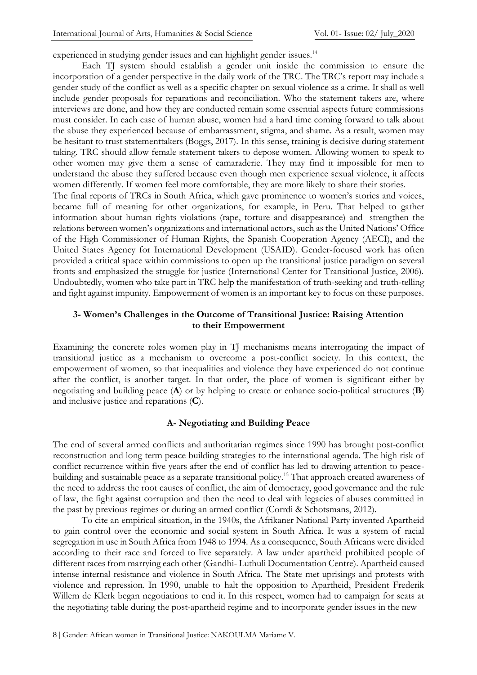experienced in studying gender issues and can highlight gender issues.<sup>[14](#page-13-3)</sup>

Each TJ system should establish a gender unit inside the commission to ensure the incorporation of a gender perspective in the daily work of the TRC. The TRC's report may include a gender study of the conflict as well as a specific chapter on sexual violence as a crime. It shall as well include gender proposals for reparations and reconciliation. Who the statement takers are, where interviews are done, and how they are conducted remain some essential aspects future commissions must consider. In each case of human abuse, women had a hard time coming forward to talk about the abuse they experienced because of embarrassment, stigma, and shame. As a result, women may be hesitant to trust statementtakers (Boggs, 2017). In this sense, training is decisive during statement taking. TRC should allow female statement takers to depose women. Allowing women to speak to other women may give them a sense of camaraderie. They may find it impossible for men to understand the abuse they suffered because even though men experience sexual violence, it affects women differently. If women feel more comfortable, they are more likely to share their stories.

The final reports of TRCs in South Africa, which gave prominence to women's stories and voices, became full of meaning for other organizations, for example, in Peru. That helped to gather information about human rights violations (rape, torture and disappearance) and strengthen the relations between women's organizations and international actors, such as the United Nations' Office of the High Commissioner of Human Rights, the Spanish Cooperation Agency (AECI), and the United States Agency for International Development (USAID). Gender-focused work has often provided a critical space within commissions to open up the transitional justice paradigm on several fronts and emphasized the struggle for justice (International Center for Transitional Justice, 2006). Undoubtedly, women who take part in TRC help the manifestation of truth-seeking and truth-telling and fight against impunity. Empowerment of women is an important key to focus on these purposes.

#### **3- Women's Challenges in the Outcome of Transitional Justice: Raising Attention to their Empowerment**

Examining the concrete roles women play in TJ mechanisms means interrogating the impact of transitional justice as a mechanism to overcome a post-conflict society. In this context, the empowerment of women, so that inequalities and violence they have experienced do not continue after the conflict, is another target. In that order, the place of women is significant either by negotiating and building peace (**A**) or by helping to create or enhance socio-political structures (**B**) and inclusive justice and reparations (**C**).

#### **A- Negotiating and Building Peace**

The end of several armed conflicts and authoritarian regimes since 1990 has brought post-conflict reconstruction and long term peace building strategies to the international agenda. The high risk of conflict recurrence within five years after the end of conflict has led to drawing attention to peace-building and sustainable peace as a separate transitional policy.<sup>[15](#page-13-4)</sup> That approach created awareness of the need to address the root causes of conflict, the aim of democracy, good governance and the rule of law, the fight against corruption and then the need to deal with legacies of abuses committed in the past by previous regimes or during an armed conflict (Corrdi & Schotsmans, 2012).

To cite an empirical situation, in the 1940s, the Afrikaner National Party invented Apartheid to gain control over the economic and social system in South Africa. It was a system of racial segregation in use in South Africa from 1948 to 1994. As a consequence, South Africans were divided according to their race and forced to live separately. A law under apartheid prohibited people of different races from marrying each other (Gandhi- Luthuli Documentation Centre). Apartheid caused intense internal resistance and violence in South Africa. The State met uprisings and protests with violence and repression. In 1990, unable to halt the opposition to Apartheid, President Frederik Willem de Klerk began negotiations to end it. In this respect, women had to campaign for seats at the negotiating table during the post-apartheid regime and to incorporate gender issues in the new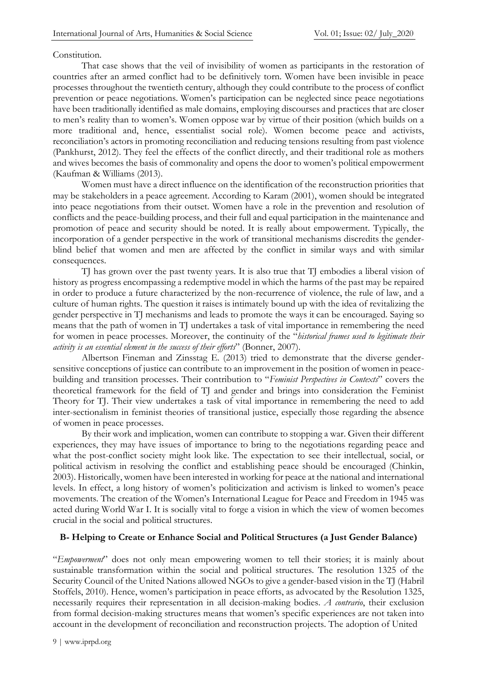#### Constitution.

That case shows that the veil of invisibility of women as participants in the restoration of countries after an armed conflict had to be definitively torn. Women have been invisible in peace processes throughout the twentieth century, although they could contribute to the process of conflict prevention or peace negotiations. Women's participation can be neglected since peace negotiations have been traditionally identified as male domains, employing discourses and practices that are closer to men's reality than to women's. Women oppose war by virtue of their position (which builds on a more traditional and, hence, essentialist social role). Women become peace and activists, reconciliation's actors in promoting reconciliation and reducing tensions resulting from past violence (Pankhurst, 2012). They feel the effects of the conflict directly, and their traditional role as mothers and wives becomes the basis of commonality and opens the door to women's political empowerment (Kaufman & Williams (2013).

Women must have a direct influence on the identification of the reconstruction priorities that may be stakeholders in a peace agreement. According to Karam (2001), women should be integrated into peace negotiations from their outset. Women have a role in the prevention and resolution of conflicts and the peace-building process, and their full and equal participation in the maintenance and promotion of peace and security should be noted. It is really about empowerment. Typically, the incorporation of a gender perspective in the work of transitional mechanisms discredits the genderblind belief that women and men are affected by the conflict in similar ways and with similar consequences.

TJ has grown over the past twenty years. It is also true that TJ embodies a liberal vision of history as progress encompassing a redemptive model in which the harms of the past may be repaired in order to produce a future characterized by the non-recurrence of violence, the rule of law, and a culture of human rights. The question it raises is intimately bound up with the idea of revitalizing the gender perspective in TJ mechanisms and leads to promote the ways it can be encouraged. Saying so means that the path of women in TJ undertakes a task of vital importance in remembering the need for women in peace processes. Moreover, the continuity of the "*historical frames used to legitimate their activity is an essential element in the success of their efforts*" (Bonner, 2007).

Albertson Fineman and Zinsstag E. (2013) tried to demonstrate that the diverse gendersensitive conceptions of justice can contribute to an improvement in the position of women in peacebuilding and transition processes. Their contribution to "*Feminist Perspectives in Contexts*" covers the theoretical framework for the field of TJ and gender and brings into consideration the Feminist Theory for TJ. Their view undertakes a task of vital importance in remembering the need to add inter-sectionalism in feminist theories of transitional justice, especially those regarding the absence of women in peace processes.

By their work and implication, women can contribute to stopping a war. Given their different experiences, they may have issues of importance to bring to the negotiations regarding peace and what the post-conflict society might look like. The expectation to see their intellectual, social, or political activism in resolving the conflict and establishing peace should be encouraged (Chinkin, 2003). Historically, women have been interested in working for peace at the national and international levels. In effect, a long history of women's politicization and activism is linked to women's peace movements. The creation of the Women's International League for Peace and Freedom in 1945 was acted during World War I. It is socially vital to forge a vision in which the view of women becomes crucial in the social and political structures.

#### **B- Helping to Create or Enhance Social and Political Structures (a Just Gender Balance)**

"*Empowerment*" does not only mean empowering women to tell their stories; it is mainly about sustainable transformation within the social and political structures. The resolution 1325 of the Security Council of the United Nations allowed NGOs to give a gender-based vision in the TJ (Habril Stoffels, 2010). Hence, women's participation in peace efforts, as advocated by the Resolution 1325, necessarily requires their representation in all decision-making bodies. *A contrario*, their exclusion from formal decision-making structures means that women's specific experiences are not taken into account in the development of reconciliation and reconstruction projects. The adoption of United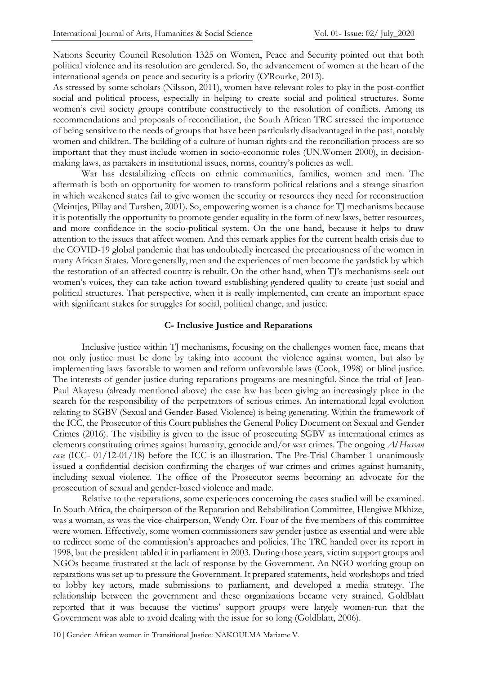Nations Security Council Resolution 1325 on Women, Peace and Security pointed out that both political violence and its resolution are gendered. So, the advancement of women at the heart of the international agenda on peace and security is a priority (O'Rourke, 2013).

As stressed by some scholars (Nilsson, 2011), women have relevant roles to play in the post-conflict social and political process, especially in helping to create social and political structures. Some women's civil society groups contribute constructively to the resolution of conflicts. Among its recommendations and proposals of reconciliation, the South African TRC stressed the importance of being sensitive to the needs of groups that have been particularly disadvantaged in the past, notably women and children. The building of a culture of human rights and the reconciliation process are so important that they must include women in socio-economic roles (UN.Women 2000), in decisionmaking laws, as partakers in institutional issues, norms, country's policies as well.

War has destabilizing effects on ethnic communities, families, women and men. The aftermath is both an opportunity for women to transform political relations and a strange situation in which weakened states fail to give women the security or resources they need for reconstruction (Meintjes, Pillay and Turshen, 2001). So, empowering women is a chance for TJ mechanisms because it is potentially the opportunity to promote gender equality in the form of new laws, better resources, and more confidence in the socio-political system. On the one hand, because it helps to draw attention to the issues that affect women. And this remark applies for the current health crisis due to the COVID-19 global pandemic that has undoubtedly increased the precariousness of the women in many African States. More generally, men and the experiences of men become the yardstick by which the restoration of an affected country is rebuilt. On the other hand, when TJ's mechanisms seek out women's voices, they can take action toward establishing gendered quality to create just social and political structures. That perspective, when it is really implemented, can create an important space with significant stakes for struggles for social, political change, and justice.

#### **C- Inclusive Justice and Reparations**

Inclusive justice within TJ mechanisms, focusing on the challenges women face, means that not only justice must be done by taking into account the violence against women, but also by implementing laws favorable to women and reform unfavorable laws (Cook, 1998) or blind justice. The interests of gender justice during reparations programs are meaningful. Since the trial of Jean-Paul Akayesu (already mentioned above) the case law has been giving an increasingly place in the search for the responsibility of the perpetrators of serious crimes. An international legal evolution relating to SGBV (Sexual and Gender-Based Violence) is being generating. Within the framework of the ICC, the Prosecutor of this Court publishes the General Policy Document on Sexual and Gender Crimes (2016). The visibility is given to the issue of prosecuting SGBV as international crimes as elements constituting crimes against humanity, genocide and/or war crimes. The ongoing *Al Hassan case* (ICC- 01/12-01/18) before the ICC is an illustration. The Pre-Trial Chamber 1 unanimously issued a confidential decision confirming the charges of war crimes and crimes against humanity, including sexual violence. The office of the Prosecutor seems becoming an advocate for the prosecution of sexual and gender-based violence and made.

Relative to the reparations, some experiences concerning the cases studied will be examined. In South Africa, the chairperson of the Reparation and Rehabilitation Committee, Hlengiwe Mkhize, was a woman, as was the vice-chairperson, Wendy Orr. Four of the five members of this committee were women. Effectively, some women commissioners saw gender justice as essential and were able to redirect some of the commission's approaches and policies. The TRC handed over its report in 1998, but the president tabled it in parliament in 2003. During those years, victim support groups and NGOs became frustrated at the lack of response by the Government. An NGO working group on reparations was set up to pressure the Government. It prepared statements, held workshops and tried to lobby key actors, made submissions to parliament, and developed a media strategy. The relationship between the government and these organizations became very strained. Goldblatt reported that it was because the victims' support groups were largely women-run that the Government was able to avoid dealing with the issue for so long (Goldblatt, 2006).

10 | Gender: African women in Transitional Justice: NAKOULMA Mariame V.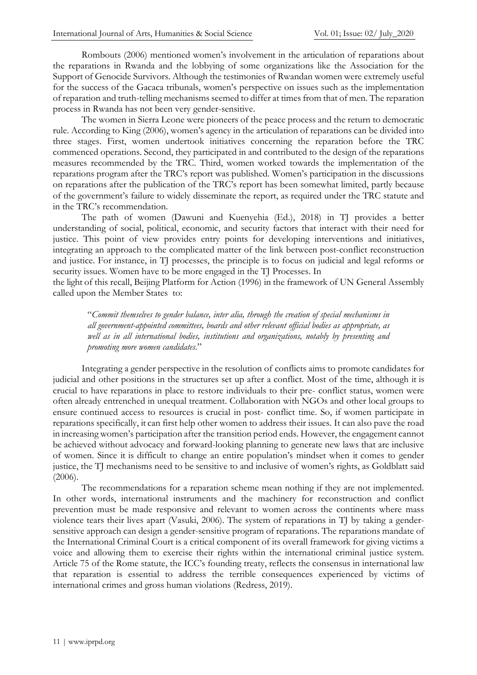Rombouts (2006) mentioned women's involvement in the articulation of reparations about the reparations in Rwanda and the lobbying of some organizations like the Association for the Support of Genocide Survivors. Although the testimonies of Rwandan women were extremely useful for the success of the Gacaca tribunals, women's perspective on issues such as the implementation of reparation and truth-telling mechanisms seemed to differ at times from that of men. The reparation process in Rwanda has not been very gender-sensitive.

The women in Sierra Leone were pioneers of the peace process and the return to democratic rule. According to King (2006), women's agency in the articulation of reparations can be divided into three stages. First, women undertook initiatives concerning the reparation before the TRC commenced operations. Second, they participated in and contributed to the design of the reparations measures recommended by the TRC. Third, women worked towards the implementation of the reparations program after the TRC's report was published. Women's participation in the discussions on reparations after the publication of the TRC's report has been somewhat limited, partly because of the government's failure to widely disseminate the report, as required under the TRC statute and in the TRC's recommendation.

The path of women (Dawuni and Kuenyehia (Ed.), 2018) in TJ provides a better understanding of social, political, economic, and security factors that interact with their need for justice. This point of view provides entry points for developing interventions and initiatives, integrating an approach to the complicated matter of the link between post-conflict reconstruction and justice. For instance, in TJ processes, the principle is to focus on judicial and legal reforms or security issues. Women have to be more engaged in the TJ Processes. In

the light of this recall, Beijing Platform for Action (1996) in the framework of UN General Assembly called upon the Member States to:

"*Commit themselves to gender balance, inter alia, through the creation of special mechanisms in all government-appointed committees, boards and other relevant official bodies as appropriate, as well as in all international bodies, institutions and organizations, notably by presenting and promoting more women candidates*."

Integrating a gender perspective in the resolution of conflicts aims to promote candidates for judicial and other positions in the structures set up after a conflict. Most of the time, although it is crucial to have reparations in place to restore individuals to their pre- conflict status, women were often already entrenched in unequal treatment. Collaboration with NGOs and other local groups to ensure continued access to resources is crucial in post- conflict time. So, if women participate in reparations specifically, it can first help other women to address their issues. It can also pave the road in increasing women's participation after the transition period ends. However, the engagement cannot be achieved without advocacy and forward-looking planning to generate new laws that are inclusive of women. Since it is difficult to change an entire population's mindset when it comes to gender justice, the TJ mechanisms need to be sensitive to and inclusive of women's rights, as Goldblatt said (2006).

The recommendations for a reparation scheme mean nothing if they are not implemented. In other words, international instruments and the machinery for reconstruction and conflict prevention must be made responsive and relevant to women across the continents where mass violence tears their lives apart (Vasuki, 2006). The system of reparations in TJ by taking a gendersensitive approach can design a gender-sensitive program of reparations. The reparations mandate of the International Criminal Court is a critical component of its overall framework for giving victims a voice and allowing them to exercise their rights within the international criminal justice system. Article 75 of the Rome statute, the ICC's founding treaty, reflects the consensus in international law that reparation is essential to address the terrible consequences experienced by victims of international crimes and gross human violations (Redress, 2019).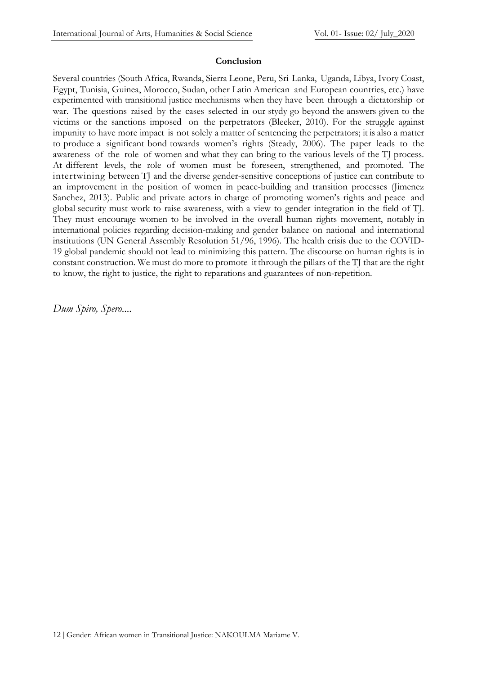#### **Conclusion**

Several countries (South Africa, Rwanda, Sierra Leone, Peru, Sri Lanka, Uganda, Libya, Ivory Coast, Egypt, Tunisia, Guinea, Morocco, Sudan, other Latin American and European countries, etc.) have experimented with transitional justice mechanisms when they have been through a dictatorship or war. The questions raised by the cases selected in our stydy go beyond the answers given to the victims or the sanctions imposed on the perpetrators (Bleeker, 2010). For the struggle against impunity to have more impact is not solely a matter of sentencing the perpetrators; it is also a matter to produce a significant bond towards women's rights (Steady, 2006). The paper leads to the awareness of the role of women and what they can bring to the various levels of the TJ process. At different levels, the role of women must be foreseen, strengthened, and promoted. The intertwining between TJ and the diverse gender-sensitive conceptions of justice can contribute to an improvement in the position of women in peace-building and transition processes (Jimenez Sanchez, 2013). Public and private actors in charge of promoting women's rights and peace and global security must work to raise awareness, with a view to gender integration in the field of TJ. They must encourage women to be involved in the overall human rights movement, notably in international policies regarding decision-making and gender balance on national and international institutions (UN General Assembly Resolution 51/96, 1996). The health crisis due to the COVID-19 global pandemic should not lead to minimizing this pattern. The discourse on human rights is in constant construction. We must do more to promote it through the pillars of the TJ that are the right to know, the right to justice, the right to reparations and guarantees of non-repetition.

*Dum Spiro, Spero*....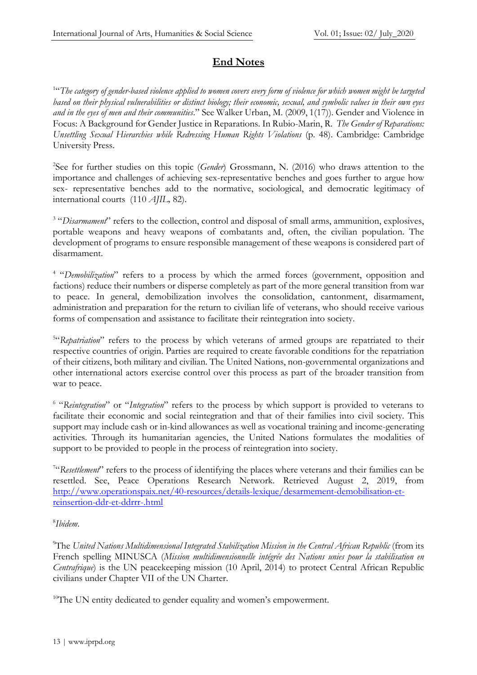## **End Notes**

1 "*The category of gender-based violence applied to women covers every form of violence for which women might be targeted based on their physical vulnerabilities or distinct biology; their economic, sexual, and symbolic values in their own eyes and in the eyes of men and their communities*." See Walker Urban, M. (2009, 1(17)). Gender and Violence in Focus: A Background for Gender Justice in Reparations. In Rubio-Marin, R. *The Gender of Reparations: Unsettling Sexual Hierarchies while Redressing Human Rights Violations* (p. 48). Cambridge: Cambridge University Press.

<span id="page-12-0"></span>2 See for further studies on this topic (*Gender*) Grossmann, N. (2016) who draws attention to the importance and challenges of achieving sex-representative benches and goes further to argue how sex- representative benches add to the normative, sociological, and democratic legitimacy of international courts (110 *AJIL,* 82).

<span id="page-12-1"></span><sup>3</sup> "Disarmament" refers to the collection, control and disposal of small arms, ammunition, explosives, portable weapons and heavy weapons of combatants and, often, the civilian population. The development of programs to ensure responsible management of these weapons is considered part of disarmament.

<span id="page-12-2"></span><sup>4</sup> "Demobilization" refers to a process by which the armed forces (government, opposition and factions) reduce their numbers or disperse completely as part of the more general transition from war to peace. In general, demobilization involves the consolidation, cantonment, disarmament, administration and preparation for the return to civilian life of veterans, who should receive various forms of compensation and assistance to facilitate their reintegration into society.

<span id="page-12-3"></span><sup>5"</sup>Repatriation" refers to the process by which veterans of armed groups are repatriated to their respective countries of origin. Parties are required to create favorable conditions for the repatriation of their citizens, both military and civilian. The United Nations, non-governmental organizations and other international actors exercise control over this process as part of the broader transition from war to peace.

<span id="page-12-4"></span>6 "*Reintegration*" or "*Integration*" refers to the process by which support is provided to veterans to facilitate their economic and social reintegration and that of their families into civil society. This support may include cash or in-kind allowances as well as vocational training and income-generating activities. Through its humanitarian agencies, the United Nations formulates the modalities of support to be provided to people in the process of reintegration into society.

<span id="page-12-5"></span><sup>7"</sup>Resettlement" refers to the process of identifying the places where veterans and their families can be resettled. See, Peace Operations Research Network. Retrieved August 2, 2019, from [http://www.operationspaix.net/40-resources/details-lexique/desarmement-demobilisation-et](http://www.operationspaix.net/40-resources/details-lexique/desarmement-demobilisation-et-reinsertion-ddr-et-)[reinsertion-ddr-et-d](http://www.operationspaix.net/40-resources/details-lexique/desarmement-demobilisation-et-reinsertion-ddr-et-)drrr-.html

### <span id="page-12-6"></span>8 *Ibidem*.

<sup>9</sup>The *United Nations Multidimensional Integrated Stabilization Mission in the Central African Republic* (from its French spelling MINUSCA (*Mission multidimensionnelle intégrée des Nations unies pour la stabilisation en Centrafrique*) is the UN peacekeeping mission (10 April, 2014) to protect Central African Republic civilians under Chapter VII of the UN Charter.

<span id="page-12-7"></span><sup>10</sup>The UN entity dedicated to gender equality and women's empowerment.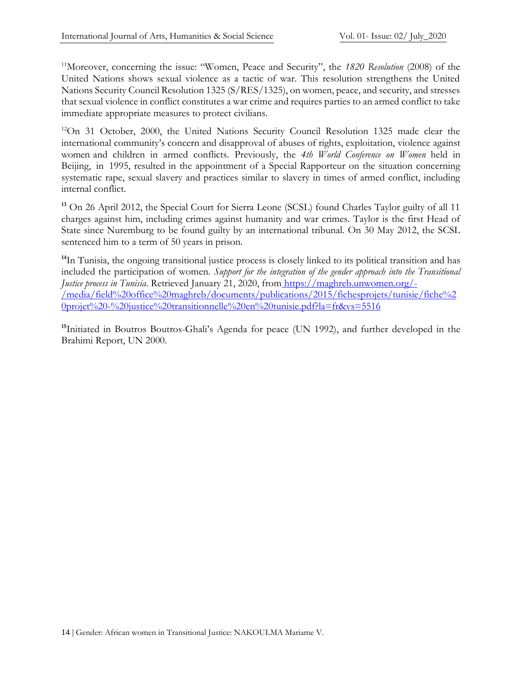<sup>11</sup>Moreover, concerning the issue: "Women, Peace and Security", the *1820 Resolution* (2008) of the United Nations shows sexual violence as a tactic of war. This resolution strengthens the United Nations Security Council Resolution 1325 (S/RES/1325), on women, peace, and security, and stresses that sexual violence in conflict constitutes a war crime and requires parties to an armed conflict to take immediate appropriate measures to protect civilians.

<span id="page-13-0"></span><sup>12</sup>On 31 October, 2000, the United Nations Security Council Resolution 1325 made clear the international community's concern and disapproval of abuses of rights, exploitation, violence against women and children in armed conflicts. Previously, the *4th World Conference on Women* held in Beijing, in 1995, resulted in the appointment of a Special Rapporteur on the situation concerning systematic rape, sexual slavery and practices similar to slavery in times of armed conflict, including internal conflict.

<span id="page-13-1"></span>**<sup>13</sup>** On 26 April 2012, the Special Court for Sierra Leone (SCSL) found Charles Taylor guilty of all 11 charges against him, including crimes against humanity and war crimes. Taylor is the first Head of State since Nuremburg to be found guilty by an international tribunal. On 30 May 2012, the SCSL sentenced him to a term of 50 years in prison.

<span id="page-13-2"></span><sup>14</sup>In Tunisia, the ongoing transitional justice process is closely linked to its political transition and has included the participation of women. *Support for the integration of the gender approach into the Transitional Justice process in Tunisia*. Retrieved January 21, 2020, from https://maghreb.unwomen.org/- /media/field%20office%20maghreb/documents/publications/2015/fichesprojets/tunisie/fiche%2 0projet%20-%20justice%20transitionnelle%20en%20tunisie.pdf?la=fr&vs=5516

<span id="page-13-4"></span><span id="page-13-3"></span>**<sup>15</sup>**Initiated in Boutros Boutros-Ghali's Agenda for peace (UN 1992), and further developed in the Brahimi Report, UN 2000.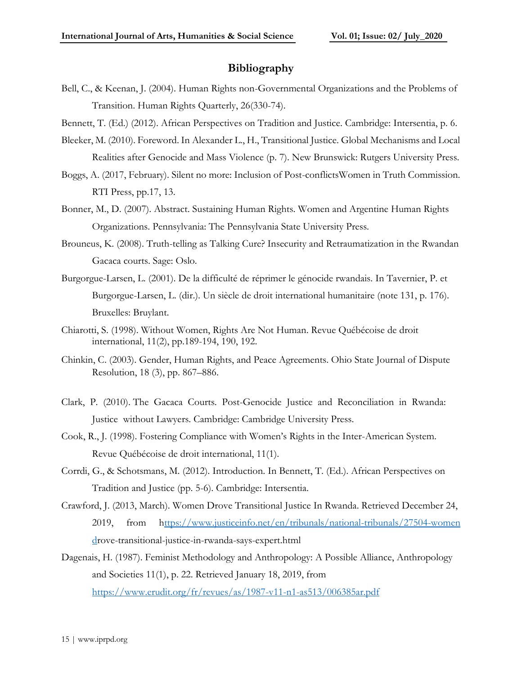#### **Bibliography**

- Bell, C., & Keenan, J. (2004). Human Rights non-Governmental Organizations and the Problems of Transition. Human Rights Quarterly, 26(330-74).
- Bennett, T. (Ed.) (2012). African Perspectives on Tradition and Justice. Cambridge: Intersentia, p. 6.
- Bleeker, M. (2010). Foreword. In Alexander L., H., Transitional Justice. Global Mechanisms and Local Realities after Genocide and Mass Violence (p. 7). New Brunswick: Rutgers University Press.
- Boggs, A. (2017, February). Silent no more: Inclusion of Post-conflictsWomen in Truth Commission. RTI Press, pp.17, 13.
- Bonner, M., D. (2007). Abstract. Sustaining Human Rights. Women and Argentine Human Rights Organizations. Pennsylvania: The Pennsylvania State University Press.
- Brouneus, K. (2008). Truth-telling as Talking Cure? Insecurity and Retraumatization in the Rwandan Gacaca courts. Sage: Oslo.
- Burgorgue-Larsen, L. (2001). De la difficulté de réprimer le génocide rwandais. In Tavernier, P. et Burgorgue-Larsen, L. (dir.). Un siècle de droit international humanitaire (note 131, p. 176). Bruxelles: Bruylant.
- Chiarotti, S. (1998). Without Women, Rights Are Not Human. Revue Québécoise de droit international, 11(2), pp.189-194, 190, 192.
- Chinkin, C. (2003). Gender, Human Rights, and Peace Agreements. Ohio State Journal of Dispute Resolution, 18 (3), pp. 867–886.
- Clark, P. (2010). The Gacaca Courts. Post-Genocide Justice and Reconciliation in Rwanda: Justice without Lawyers. Cambridge: Cambridge University Press.
- Cook, R., J. (1998). Fostering Compliance with Women's Rights in the Inter-American System. Revue Québécoise de droit international, 11(1).
- Corrdi, G., & Schotsmans, M. (2012). Introduction. In Bennett, T. (Ed.). African Perspectives on Tradition and Justice (pp. 5-6). Cambridge: Intersentia.
- Crawford, J. (2013, March). Women Drove Transitional Justice In Rwanda. Retrieved December 24, 2019, from [https://www.justiceinfo.net/en/tribunals/national-tribunals/27504-women](ttps://www.justiceinfo.net/en/tribunals/national-tribunals/27504-women-d)  [dr](ttps://www.justiceinfo.net/en/tribunals/national-tribunals/27504-women-d)ove-transitional-justice-in-rwanda-says-expert.html
- Dagenais, H. (1987). Feminist Methodology and Anthropology: A Possible Alliance, Anthropology and Societies 11(1), p. 22. Retrieved January 18, 2019, from <https://www.erudit.org/fr/revues/as/1987-v11-n1-as513/006385ar.pdf>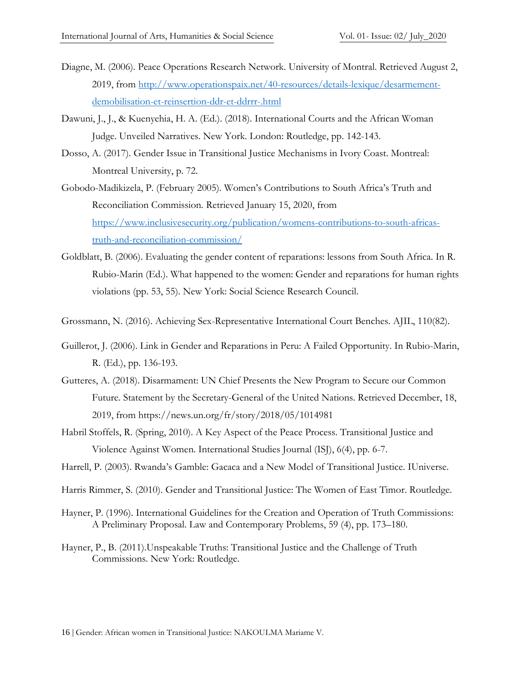- Diagne, M. (2006). Peace Operations Research Network. University of Montral. Retrieved August 2, 2019, from [http://www.operationspaix.net/40-resources/details-lexique/desarmement](http://www.operationspaix.net/40-resources/details-lexique/desarmement-demobilisation-et-reinsertion-ddr-et-ddrrr-.html)[demobilisation-et-reinsertion-ddr-et-ddrrr-.html](http://www.operationspaix.net/40-resources/details-lexique/desarmement-demobilisation-et-reinsertion-ddr-et-ddrrr-.html)
- Dawuni, J., J., & Kuenyehia, H. A. (Ed.). (2018). International Courts and the African Woman Judge. Unveiled Narratives. New York. London: Routledge, pp. 142-143.
- Dosso, A. (2017). Gender Issue in Transitional Justice Mechanisms in Ivory Coast. Montreal: Montreal University, p. 72.
- Gobodo-Madikizela, P. (February 2005). Women's Contributions to South Africa's Truth and Reconciliation Commission. Retrieved January 15, 2020, from [https://www.inclusivesecurity.org/publication/womens-contributions-to-south-africas](https://www.inclusivesecurity.org/publication/womens-contributions-to-south-africas-truth-and-reconciliation-commission/)[truth-and-reconciliation-commission/](https://www.inclusivesecurity.org/publication/womens-contributions-to-south-africas-truth-and-reconciliation-commission/)
- Goldblatt, B. (2006). Evaluating the gender content of reparations: lessons from South Africa. In R. Rubio-Marin (Ed.). What happened to the women: Gender and reparations for human rights violations (pp. 53, 55). New York: Social Science Research Council.
- Grossmann, N. (2016). Achieving Sex-Representative International Court Benches. AJIL, 110(82).
- Guillerot, J. (2006). Link in Gender and Reparations in Peru: A Failed Opportunity. In Rubio-Marin, R. (Ed.), pp. 136-193.
- Gutteres, A. (2018). Disarmament: UN Chief Presents the New Program to Secure our Common Future. Statement by the Secretary-General of the United Nations. Retrieved December, 18, 2019, from https://news.un.org/fr/story/2018/05/1014981
- Habril Stoffels, R. (Spring, 2010). A Key Aspect of the Peace Process. Transitional Justice and Violence Against Women. International Studies Journal (ISJ), 6(4), pp. 6-7.
- Harrell, P. (2003). Rwanda's Gamble: Gacaca and a New Model of Transitional Justice. IUniverse.
- Harris Rimmer, S. (2010). Gender and Transitional Justice: The Women of East Timor. Routledge.
- Hayner, P. (1996). International Guidelines for the Creation and Operation of Truth Commissions: A Preliminary Proposal. Law and Contemporary Problems, 59 (4), pp. 173–180.
- Hayner, P., B. (2011).Unspeakable Truths: Transitional Justice and the Challenge of Truth Commissions. New York: Routledge.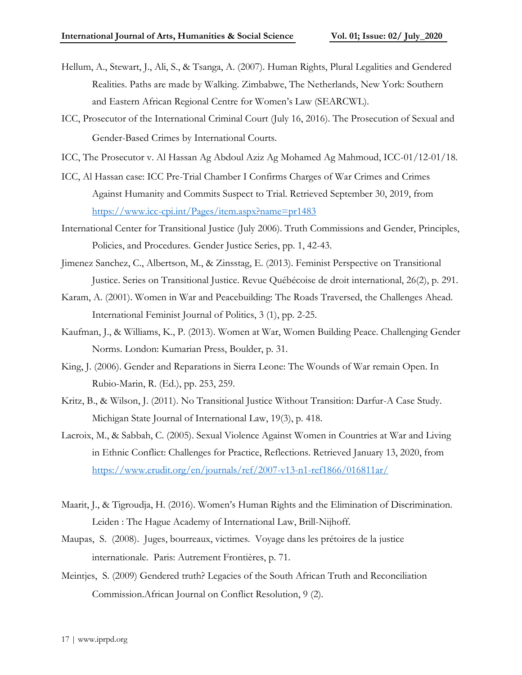- Hellum, A., Stewart, J., Ali, S., & Tsanga, A. (2007). Human Rights, Plural Legalities and Gendered Realities. Paths are made by Walking. Zimbabwe, The Netherlands, New York: Southern and Eastern African Regional Centre for Women's Law (SEARCWL).
- ICC, Prosecutor of the International Criminal Court (July 16, 2016). The Prosecution of Sexual and Gender-Based Crimes by International Courts.
- ICC, The Prosecutor v. Al Hassan Ag Abdoul Aziz Ag Mohamed Ag Mahmoud, ICC-01/12-01/18.
- ICC, Al Hassan case: ICC Pre-Trial Chamber I Confirms Charges of War Crimes and Crimes Against Humanity and Commits Suspect to Trial. Retrieved September 30, 2019, from <https://www.icc-cpi.int/Pages/item.aspx?name=pr1483>
- International Center for Transitional Justice (July 2006). Truth Commissions and Gender, Principles, Policies, and Procedures. Gender Justice Series, pp. 1, 42-43.
- Jimenez Sanchez, C., Albertson, M., & Zinsstag, E. (2013). Feminist Perspective on Transitional Justice. Series on Transitional Justice. Revue Québécoise de droit international, 26(2), p. 291.
- Karam, A. (2001). Women in War and Peacebuilding: The Roads Traversed, the Challenges Ahead. International Feminist Journal of Politics, 3 (1), pp. 2-25.
- Kaufman, J., & Williams, K., P. (2013). Women at War, Women Building Peace. Challenging Gender Norms. London: Kumarian Press, Boulder, p. 31.
- King, J. (2006). Gender and Reparations in Sierra Leone: The Wounds of War remain Open. In Rubio-Marin, R. (Ed.), pp. 253, 259.
- Kritz, B., & Wilson, J. (2011). No Transitional Justice Without Transition: Darfur-A Case Study. Michigan State Journal of International Law, 19(3), p. 418.
- Lacroix, M., & Sabbah, C. (2005). Sexual Violence Against Women in Countries at War and Living in Ethnic Conflict: Challenges for Practice, Reflections. Retrieved January 13, 2020, from <https://www.erudit.org/en/journals/ref/2007-v13-n1-ref1866/016811ar/>
- Maarit, J., & Tigroudja, H. (2016). Women's Human Rights and the Elimination of Discrimination. Leiden : The Hague Academy of International Law, Brill-Nijhoff.
- Maupas, S. (2008). Juges, bourreaux, victimes. Voyage dans les prétoires de la justice internationale. Paris: Autrement Frontières, p. 71.
- Meintjes, S. (2009) Gendered truth? Legacies of the South African Truth and Reconciliation Commission.African Journal on Conflict Resolution, 9 (2).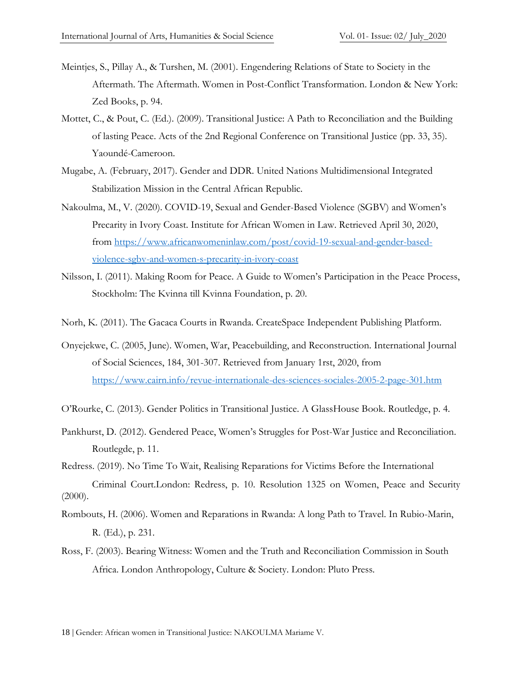- Meintjes, S., Pillay A., & Turshen, M. (2001). Engendering Relations of State to Society in the Aftermath. The Aftermath. Women in Post-Conflict Transformation. London & New York: Zed Books, p. 94.
- Mottet, C., & Pout, C. (Ed.). (2009). Transitional Justice: A Path to Reconciliation and the Building of lasting Peace. Acts of the 2nd Regional Conference on Transitional Justice (pp. 33, 35). Yaoundé-Cameroon.
- Mugabe, A. (February, 2017). Gender and DDR. United Nations Multidimensional Integrated Stabilization Mission in the Central African Republic.
- Nakoulma, M., V. (2020). COVID-19, Sexual and Gender-Based Violence (SGBV) and Women's Precarity in Ivory Coast. Institute for African Women in Law. Retrieved April 30, 2020, from [https://www.africanwomeninlaw.com/post/covid-19-sexual-and-gender-based](https://www.africanwomeninlaw.com/post/covid-19-sexual-and-gender-based-violence-sgbv-and-women-s-precarity-in-ivory-coast)[violence-sgbv-and-women-s-precarity-in-ivory-coast](https://www.africanwomeninlaw.com/post/covid-19-sexual-and-gender-based-violence-sgbv-and-women-s-precarity-in-ivory-coast)
- Nilsson, I. (2011). Making Room for Peace. A Guide to Women's Participation in the Peace Process, Stockholm: The Kvinna till Kvinna Foundation, p. 20.
- Norh, K. (2011). The Gacaca Courts in Rwanda. CreateSpace Independent Publishing Platform.
- Onyejekwe, C. (2005, June). Women, War, Peacebuilding, and Reconstruction. International Journal of Social Sciences, 184, 301-307. Retrieved from January 1rst, 2020, from <https://www.cairn.info/revue-internationale-des-sciences-sociales-2005-2-page-301.htm>
- O'Rourke, C. (2013). Gender Politics in Transitional Justice. A GlassHouse Book. Routledge, p. 4.
- Pankhurst, D. (2012). Gendered Peace, Women's Struggles for Post-War Justice and Reconciliation. Routlegde, p. 11.
- Redress. (2019). No Time To Wait, Realising Reparations for Victims Before the International Criminal Court.London: Redress, p. 10. Resolution 1325 on Women, Peace and Security  $(2000).$
- Rombouts, H. (2006). Women and Reparations in Rwanda: A long Path to Travel. In Rubio-Marin, R. (Ed.), p. 231.
- Ross, F. (2003). Bearing Witness: Women and the Truth and Reconciliation Commission in South Africa. London Anthropology, Culture & Society. London: Pluto Press.